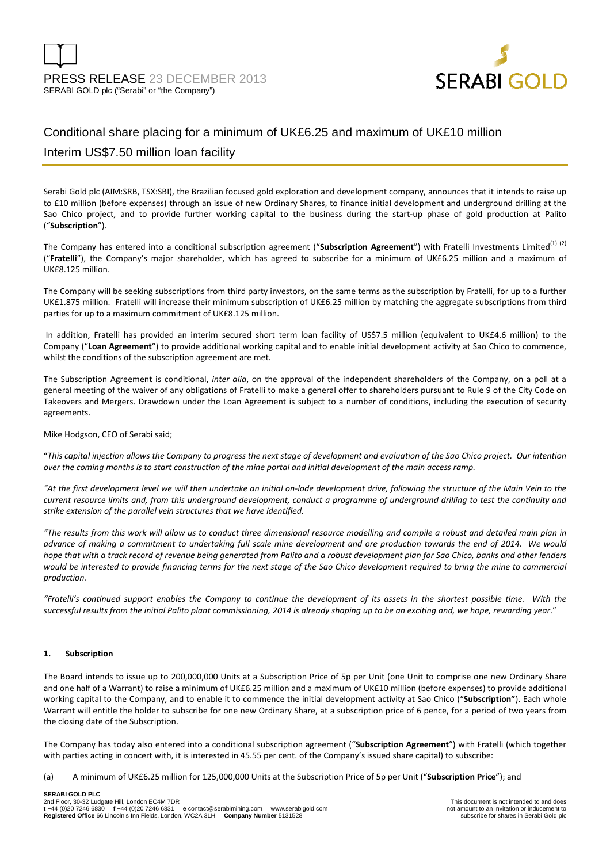

# Conditional share placing for a minimum of UK£6.25 and maximum of UK£10 million Interim US\$7.50 million loan facility

Serabi Gold plc (AIM:SRB, TSX:SBI), the Brazilian focused gold exploration and development company, announces that it intends to raise up to £10 million (before expenses) through an issue of new Ordinary Shares, to finance initial development and underground drilling at the Sao Chico project, and to provide further working capital to the business during the start-up phase of gold production at Palito ("**Subscription**").

The Company has entered into a conditional subscription agreement ("Subscription Agreement") with Fratelli Investments Limited<sup>(1)</sup> (2) ("**Fratelli**"), the Company's major shareholder, which has agreed to subscribe for a minimum of UK£6.25 million and a maximum of UK£8.125 million.

The Company will be seeking subscriptions from third party investors, on the same terms as the subscription by Fratelli, for up to a further UK£1.875 million. Fratelli will increase their minimum subscription of UK£6.25 million by matching the aggregate subscriptions from third parties for up to a maximum commitment of UK£8.125 million.

 In addition, Fratelli has provided an interim secured short term loan facility of US\$7.5 million (equivalent to UK£4.6 million) to the Company ("**Loan Agreement**") to provide additional working capital and to enable initial development activity at Sao Chico to commence, whilst the conditions of the subscription agreement are met.

The Subscription Agreement is conditional, *inter alia*, on the approval of the independent shareholders of the Company, on a poll at a general meeting of the waiver of any obligations of Fratelli to make a general offer to shareholders pursuant to Rule 9 of the City Code on Takeovers and Mergers. Drawdown under the Loan Agreement is subject to a number of conditions, including the execution of security agreements.

Mike Hodgson, CEO of Serabi said;

"*This capital injection allows the Company to progress the next stage of development and evaluation of the Sao Chico project. Our intention over the coming months is to start construction of the mine portal and initial development of the main access ramp.* 

*"At the first development level we will then undertake an initial on-lode development drive, following the structure of the Main Vein to the current resource limits and, from this underground development, conduct a programme of underground drilling to test the continuity and strike extension of the parallel vein structures that we have identified.* 

*"The results from this work will allow us to conduct three dimensional resource modelling and compile a robust and detailed main plan in advance of making a commitment to undertaking full scale mine development and ore production towards the end of 2014. We would hope that with a track record of revenue being generated from Palito and a robust development plan for Sao Chico, banks and other lenders would be interested to provide financing terms for the next stage of the Sao Chico development required to bring the mine to commercial production.*

*"Fratelli's continued support enables the Company to continue the development of its assets in the shortest possible time. With the successful results from the initial Palito plant commissioning, 2014 is already shaping up to be an exciting and, we hope, rewarding year*."

### **1. Subscription**

The Board intends to issue up to 200,000,000 Units at a Subscription Price of 5p per Unit (one Unit to comprise one new Ordinary Share and one half of a Warrant) to raise a minimum of UK£6.25 million and a maximum of UK£10 million (before expenses) to provide additional working capital to the Company, and to enable it to commence the initial development activity at Sao Chico ("**Subscription"**). Each whole Warrant will entitle the holder to subscribe for one new Ordinary Share, at a subscription price of 6 pence, for a period of two years from the closing date of the Subscription.

The Company has today also entered into a conditional subscription agreement ("**Subscription Agreement**") with Fratelli (which together with parties acting in concert with, it is interested in 45.55 per cent. of the Company's issued share capital) to subscribe:

(a) A minimum of UK£6.25 million for 125,000,000 Units at the Subscription Price of 5p per Unit ("**Subscription Price**"); and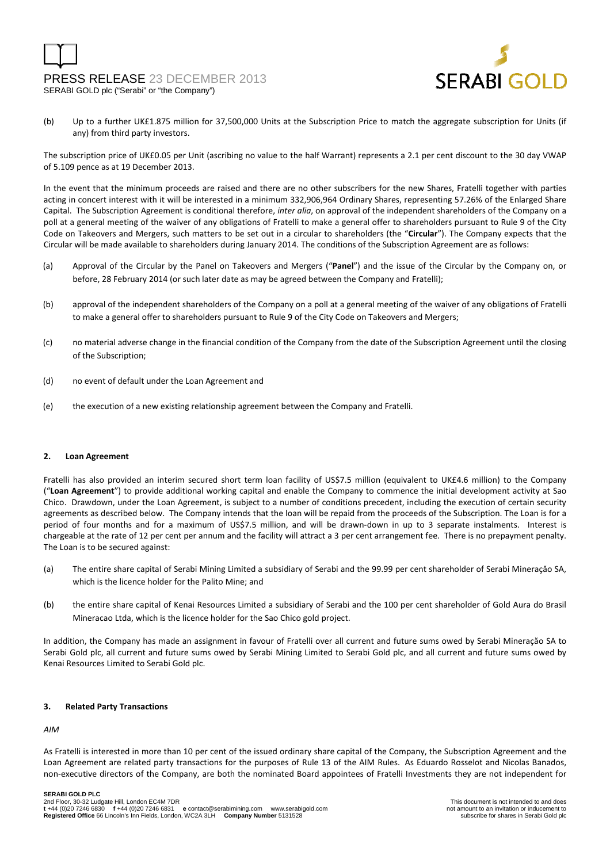# PRESS RELEASE 23 DECEMBER 2013 SERABI GOLD plc ("Serabi" or "the Company")



(b) Up to a further UK£1.875 million for 37,500,000 Units at the Subscription Price to match the aggregate subscription for Units (if any) from third party investors.

The subscription price of UK£0.05 per Unit (ascribing no value to the half Warrant) represents a 2.1 per cent discount to the 30 day VWAP of 5.109 pence as at 19 December 2013.

In the event that the minimum proceeds are raised and there are no other subscribers for the new Shares, Fratelli together with parties acting in concert interest with it will be interested in a minimum 332,906,964 Ordinary Shares, representing 57.26% of the Enlarged Share Capital. The Subscription Agreement is conditional therefore, *inter alia*, on approval of the independent shareholders of the Company on a poll at a general meeting of the waiver of any obligations of Fratelli to make a general offer to shareholders pursuant to Rule 9 of the City Code on Takeovers and Mergers, such matters to be set out in a circular to shareholders (the "**Circular**"). The Company expects that the Circular will be made available to shareholders during January 2014. The conditions of the Subscription Agreement are as follows:

- (a) Approval of the Circular by the Panel on Takeovers and Mergers ("**Panel**") and the issue of the Circular by the Company on, or before, 28 February 2014 (or such later date as may be agreed between the Company and Fratelli);
- (b) approval of the independent shareholders of the Company on a poll at a general meeting of the waiver of any obligations of Fratelli to make a general offer to shareholders pursuant to Rule 9 of the City Code on Takeovers and Mergers;
- (c) no material adverse change in the financial condition of the Company from the date of the Subscription Agreement until the closing of the Subscription;
- (d) no event of default under the Loan Agreement and
- (e) the execution of a new existing relationship agreement between the Company and Fratelli.

### **2. Loan Agreement**

Fratelli has also provided an interim secured short term loan facility of US\$7.5 million (equivalent to UK£4.6 million) to the Company ("**Loan Agreement**") to provide additional working capital and enable the Company to commence the initial development activity at Sao Chico. Drawdown, under the Loan Agreement, is subject to a number of conditions precedent, including the execution of certain security agreements as described below. The Company intends that the loan will be repaid from the proceeds of the Subscription. The Loan is for a period of four months and for a maximum of US\$7.5 million, and will be drawn-down in up to 3 separate instalments. Interest is chargeable at the rate of 12 per cent per annum and the facility will attract a 3 per cent arrangement fee. There is no prepayment penalty. The Loan is to be secured against:

- (a) The entire share capital of Serabi Mining Limited a subsidiary of Serabi and the 99.99 per cent shareholder of Serabi Mineraçăo SA, which is the licence holder for the Palito Mine; and
- (b) the entire share capital of Kenai Resources Limited a subsidiary of Serabi and the 100 per cent shareholder of Gold Aura do Brasil Mineracao Ltda, which is the licence holder for the Sao Chico gold project.

In addition, the Company has made an assignment in favour of Fratelli over all current and future sums owed by Serabi Mineraçăo SA to Serabi Gold plc, all current and future sums owed by Serabi Mining Limited to Serabi Gold plc, and all current and future sums owed by Kenai Resources Limited to Serabi Gold plc.

### **3. Related Party Transactions**

### *AIM*

As Fratelli is interested in more than 10 per cent of the issued ordinary share capital of the Company, the Subscription Agreement and the Loan Agreement are related party transactions for the purposes of Rule 13 of the AIM Rules. As Eduardo Rosselot and Nicolas Banados, non-executive directors of the Company, are both the nominated Board appointees of Fratelli Investments they are not independent for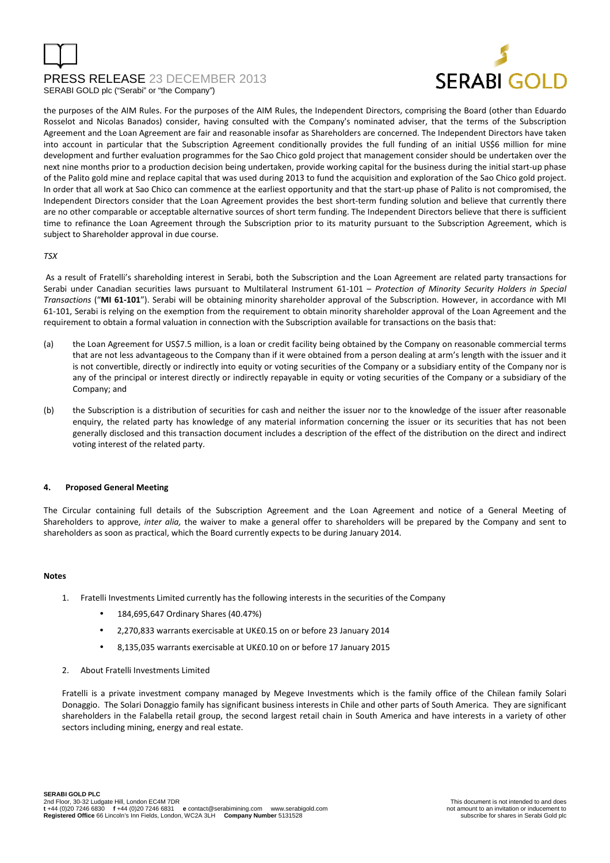# PRESS RELEASE 23 DECEMBER 2013 SERABI GOLD plc ("Serabi" or "the Company")



the purposes of the AIM Rules. For the purposes of the AIM Rules, the Independent Directors, comprising the Board (other than Eduardo Rosselot and Nicolas Banados) consider, having consulted with the Company's nominated adviser, that the terms of the Subscription Agreement and the Loan Agreement are fair and reasonable insofar as Shareholders are concerned. The Independent Directors have taken into account in particular that the Subscription Agreement conditionally provides the full funding of an initial US\$6 million for mine development and further evaluation programmes for the Sao Chico gold project that management consider should be undertaken over the next nine months prior to a production decision being undertaken, provide working capital for the business during the initial start-up phase of the Palito gold mine and replace capital that was used during 2013 to fund the acquisition and exploration of the Sao Chico gold project. In order that all work at Sao Chico can commence at the earliest opportunity and that the start-up phase of Palito is not compromised, the Independent Directors consider that the Loan Agreement provides the best short-term funding solution and believe that currently there are no other comparable or acceptable alternative sources of short term funding. The Independent Directors believe that there is sufficient time to refinance the Loan Agreement through the Subscription prior to its maturity pursuant to the Subscription Agreement, which is subject to Shareholder approval in due course.

### *TSX*

 As a result of Fratelli's shareholding interest in Serabi, both the Subscription and the Loan Agreement are related party transactions for Serabi under Canadian securities laws pursuant to Multilateral Instrument 61-101 – *Protection of Minority Security Holders in Special Transactions* ("**MI 61-101**"). Serabi will be obtaining minority shareholder approval of the Subscription. However, in accordance with MI 61-101, Serabi is relying on the exemption from the requirement to obtain minority shareholder approval of the Loan Agreement and the requirement to obtain a formal valuation in connection with the Subscription available for transactions on the basis that:

- (a) the Loan Agreement for US\$7.5 million, is a loan or credit facility being obtained by the Company on reasonable commercial terms that are not less advantageous to the Company than if it were obtained from a person dealing at arm's length with the issuer and it is not convertible, directly or indirectly into equity or voting securities of the Company or a subsidiary entity of the Company nor is any of the principal or interest directly or indirectly repayable in equity or voting securities of the Company or a subsidiary of the Company; and
- (b) the Subscription is a distribution of securities for cash and neither the issuer nor to the knowledge of the issuer after reasonable enquiry, the related party has knowledge of any material information concerning the issuer or its securities that has not been generally disclosed and this transaction document includes a description of the effect of the distribution on the direct and indirect voting interest of the related party.

### **4. Proposed General Meeting**

The Circular containing full details of the Subscription Agreement and the Loan Agreement and notice of a General Meeting of Shareholders to approve, *inter alia,* the waiver to make a general offer to shareholders will be prepared by the Company and sent to shareholders as soon as practical, which the Board currently expects to be during January 2014.

### **Notes**

- 1. Fratelli Investments Limited currently has the following interests in the securities of the Company
	- 184,695,647 Ordinary Shares (40.47%)
	- 2,270,833 warrants exercisable at UK£0.15 on or before 23 January 2014
	- 8,135,035 warrants exercisable at UK£0.10 on or before 17 January 2015
- 2. About Fratelli Investments Limited

Fratelli is a private investment company managed by Megeve Investments which is the family office of the Chilean family Solari Donaggio. The Solari Donaggio family has significant business interests in Chile and other parts of South America. They are significant shareholders in the Falabella retail group, the second largest retail chain in South America and have interests in a variety of other sectors including mining, energy and real estate.